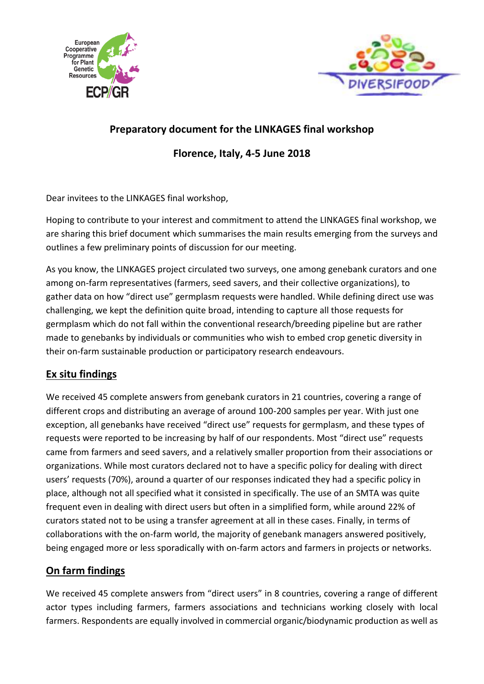



## **Preparatory document for the LINKAGES final workshop**

**Florence, Italy, 4-5 June 2018**

Dear invitees to the LINKAGES final workshop,

Hoping to contribute to your interest and commitment to attend the LINKAGES final workshop, we are sharing this brief document which summarises the main results emerging from the surveys and outlines a few preliminary points of discussion for our meeting.

As you know, the LINKAGES project circulated two surveys, one among genebank curators and one among on-farm representatives (farmers, seed savers, and their collective organizations), to gather data on how "direct use" germplasm requests were handled. While defining direct use was challenging, we kept the definition quite broad, intending to capture all those requests for germplasm which do not fall within the conventional research/breeding pipeline but are rather made to genebanks by individuals or communities who wish to embed crop genetic diversity in their on-farm sustainable production or participatory research endeavours.

## **Ex situ findings**

We received 45 complete answers from genebank curators in 21 countries, covering a range of different crops and distributing an average of around 100-200 samples per year. With just one exception, all genebanks have received "direct use" requests for germplasm, and these types of requests were reported to be increasing by half of our respondents. Most "direct use" requests came from farmers and seed savers, and a relatively smaller proportion from their associations or organizations. While most curators declared not to have a specific policy for dealing with direct users' requests (70%), around a quarter of our responses indicated they had a specific policy in place, although not all specified what it consisted in specifically. The use of an SMTA was quite frequent even in dealing with direct users but often in a simplified form, while around 22% of curators stated not to be using a transfer agreement at all in these cases. Finally, in terms of collaborations with the on-farm world, the majority of genebank managers answered positively, being engaged more or less sporadically with on-farm actors and farmers in projects or networks.

## **On farm findings**

We received 45 complete answers from "direct users" in 8 countries, covering a range of different actor types including farmers, farmers associations and technicians working closely with local farmers. Respondents are equally involved in commercial organic/biodynamic production as well as